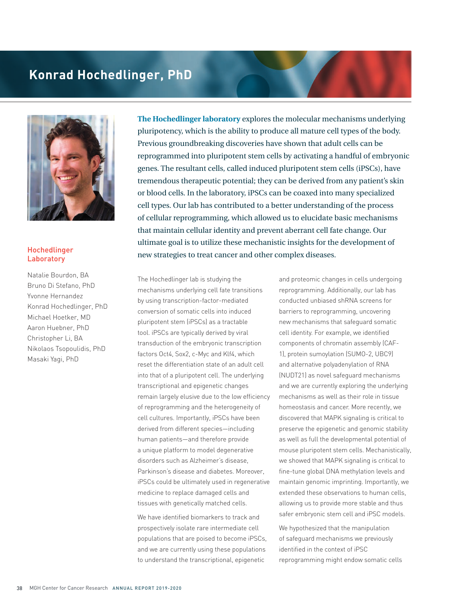## **Konrad Hochedlinger, PhD**



## Hochedlinger Laboratory

Natalie Bourdon, BA Bruno Di Stefano, PhD Yvonne Hernandez Konrad Hochedlinger, PhD Michael Hoetker, MD Aaron Huebner, PhD Christopher Li, BA Nikolaos Tsopoulidis, PhD Masaki Yagi, PhD

**The Hochedlinger laboratory** explores the molecular mechanisms underlying pluripotency, which is the ability to produce all mature cell types of the body. Previous groundbreaking discoveries have shown that adult cells can be reprogrammed into pluripotent stem cells by activating a handful of embryonic genes. The resultant cells, called induced pluripotent stem cells (iPSCs), have tremendous therapeutic potential; they can be derived from any patient's skin or blood cells. In the laboratory, iPSCs can be coaxed into many specialized cell types. Our lab has contributed to a better understanding of the process of cellular reprogramming, which allowed us to elucidate basic mechanisms that maintain cellular identity and prevent aberrant cell fate change. Our ultimate goal is to utilize these mechanistic insights for the development of new strategies to treat cancer and other complex diseases.

The Hochedlinger lab is studying the mechanisms underlying cell fate transitions by using transcription-factor-mediated conversion of somatic cells into induced pluripotent stem (iPSCs) as a tractable tool. iPSCs are typically derived by viral transduction of the embryonic transcription factors Oct4, Sox2, c-Myc and Klf4, which reset the differentiation state of an adult cell into that of a pluripotent cell. The underlying transcriptional and epigenetic changes remain largely elusive due to the low efficiency of reprogramming and the heterogeneity of cell cultures. Importantly, iPSCs have been derived from different species—including human patients—and therefore provide a unique platform to model degenerative disorders such as Alzheimer's disease, Parkinson's disease and diabetes. Moreover, iPSCs could be ultimately used in regenerative medicine to replace damaged cells and tissues with genetically matched cells.

We have identified biomarkers to track and prospectively isolate rare intermediate cell populations that are poised to become iPSCs, and we are currently using these populations to understand the transcriptional, epigenetic

and proteomic changes in cells undergoing reprogramming. Additionally, our lab has conducted unbiased shRNA screens for barriers to reprogramming, uncovering new mechanisms that safeguard somatic cell identity. For example, we identified components of chromatin assembly (CAF-1), protein sumoylation (SUMO-2, UBC9) and alternative polyadenylation of RNA (NUDT21) as novel safeguard mechanisms and we are currently exploring the underlying mechanisms as well as their role in tissue homeostasis and cancer. More recently, we discovered that MAPK signaling is critical to preserve the epigenetic and genomic stability as well as full the developmental potential of mouse pluripotent stem cells. Mechanistically, we showed that MAPK signaling is critical to fine-tune global DNA methylation levels and maintain genomic imprinting. Importantly, we extended these observations to human cells, allowing us to provide more stable and thus safer embryonic stem cell and iPSC models.

We hypothesized that the manipulation of safeguard mechanisms we previously identified in the context of iPSC reprogramming might endow somatic cells